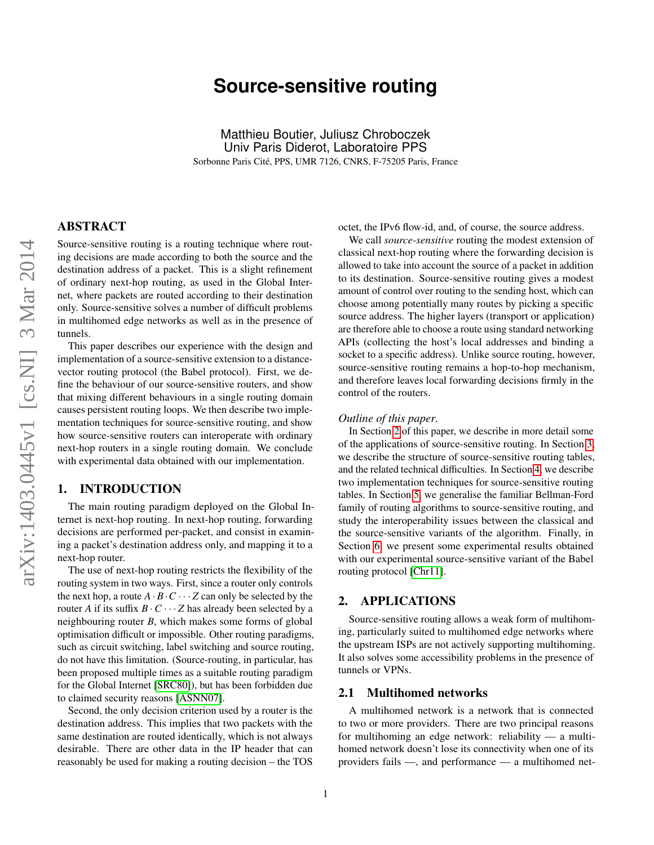# **Source-sensitive routing**

Matthieu Boutier, Juliusz Chroboczek Univ Paris Diderot, Laboratoire PPS Sorbonne Paris Cité, PPS, UMR 7126, CNRS, F-75205 Paris, France

# ABSTRACT

Source-sensitive routing is a routing technique where routing decisions are made according to both the source and the destination address of a packet. This is a slight refinement of ordinary next-hop routing, as used in the Global Internet, where packets are routed according to their destination only. Source-sensitive solves a number of difficult problems in multihomed edge networks as well as in the presence of tunnels.

This paper describes our experience with the design and implementation of a source-sensitive extension to a distancevector routing protocol (the Babel protocol). First, we define the behaviour of our source-sensitive routers, and show that mixing different behaviours in a single routing domain causes persistent routing loops. We then describe two implementation techniques for source-sensitive routing, and show how source-sensitive routers can interoperate with ordinary next-hop routers in a single routing domain. We conclude with experimental data obtained with our implementation.

# 1. INTRODUCTION

The main routing paradigm deployed on the Global Internet is next-hop routing. In next-hop routing, forwarding decisions are performed per-packet, and consist in examining a packet's destination address only, and mapping it to a next-hop router.

The use of next-hop routing restricts the flexibility of the routing system in two ways. First, since a router only controls the next hop, a route  $A \cdot B \cdot C \cdots Z$  can only be selected by the router *A* if its suffix  $B \cdot C \cdots Z$  has already been selected by a neighbouring router *B*, which makes some forms of global optimisation difficult or impossible. Other routing paradigms, such as circuit switching, label switching and source routing, do not have this limitation. (Source-routing, in particular, has been proposed multiple times as a suitable routing paradigm for the Global Internet [\[SRC80\]](#page-8-0)), but has been forbidden due to claimed security reasons [\[ASNN07\]](#page-7-0).

Second, the only decision criterion used by a router is the destination address. This implies that two packets with the same destination are routed identically, which is not always desirable. There are other data in the IP header that can reasonably be used for making a routing decision – the TOS

octet, the IPv6 flow-id, and, of course, the source address.

We call *source-sensitive* routing the modest extension of classical next-hop routing where the forwarding decision is allowed to take into account the source of a packet in addition to its destination. Source-sensitive routing gives a modest amount of control over routing to the sending host, which can choose among potentially many routes by picking a specific source address. The higher layers (transport or application) are therefore able to choose a route using standard networking APIs (collecting the host's local addresses and binding a socket to a specific address). Unlike source routing, however, source-sensitive routing remains a hop-to-hop mechanism, and therefore leaves local forwarding decisions firmly in the control of the routers.

#### *Outline of this paper.*

In Section [2](#page-0-0) of this paper, we describe in more detail some of the applications of source-sensitive routing. In Section [3,](#page-1-0) we describe the structure of source-sensitive routing tables, and the related technical difficulties. In Section [4,](#page-2-0) we describe two implementation techniques for source-sensitive routing tables. In Section [5,](#page-5-0) we generalise the familiar Bellman-Ford family of routing algorithms to source-sensitive routing, and study the interoperability issues between the classical and the source-sensitive variants of the algorithm. Finally, in Section [6,](#page-5-1) we present some experimental results obtained with our experimental source-sensitive variant of the Babel routing protocol [\[Chr11\]](#page-8-1).

# <span id="page-0-0"></span>2. APPLICATIONS

Source-sensitive routing allows a weak form of multihoming, particularly suited to multihomed edge networks where the upstream ISPs are not actively supporting multihoming. It also solves some accessibility problems in the presence of tunnels or VPNs.

# 2.1 Multihomed networks

A multihomed network is a network that is connected to two or more providers. There are two principal reasons for multihoming an edge network: reliability — a multihomed network doesn't lose its connectivity when one of its providers fails —, and performance — a multihomed net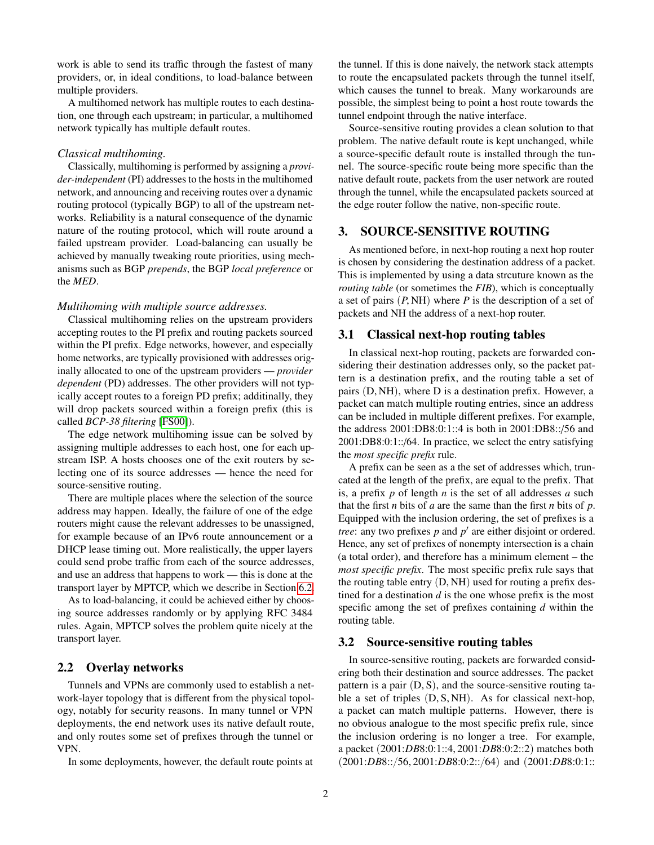work is able to send its traffic through the fastest of many providers, or, in ideal conditions, to load-balance between multiple providers.

A multihomed network has multiple routes to each destination, one through each upstream; in particular, a multihomed network typically has multiple default routes.

#### *Classical multihoming.*

Classically, multihoming is performed by assigning a *provider-independent* (PI) addresses to the hosts in the multihomed network, and announcing and receiving routes over a dynamic routing protocol (typically BGP) to all of the upstream networks. Reliability is a natural consequence of the dynamic nature of the routing protocol, which will route around a failed upstream provider. Load-balancing can usually be achieved by manually tweaking route priorities, using mechanisms such as BGP *prepends*, the BGP *local preference* or the *MED*.

#### *Multihoming with multiple source addresses.*

Classical multihoming relies on the upstream providers accepting routes to the PI prefix and routing packets sourced within the PI prefix. Edge networks, however, and especially home networks, are typically provisioned with addresses originally allocated to one of the upstream providers — *provider dependent* (PD) addresses. The other providers will not typically accept routes to a foreign PD prefix; additinally, they will drop packets sourced within a foreign prefix (this is called *BCP-38 filtering* [\[FS00\]](#page-8-2)).

The edge network multihoming issue can be solved by assigning multiple addresses to each host, one for each upstream ISP. A hosts chooses one of the exit routers by selecting one of its source addresses — hence the need for source-sensitive routing.

There are multiple places where the selection of the source address may happen. Ideally, the failure of one of the edge routers might cause the relevant addresses to be unassigned, for example because of an IPv6 route announcement or a DHCP lease timing out. More realistically, the upper layers could send probe traffic from each of the source addresses, and use an address that happens to work — this is done at the transport layer by MPTCP, which we describe in Section [6.2.](#page-6-0)

As to load-balancing, it could be achieved either by choosing source addresses randomly or by applying RFC 3484 rules. Again, MPTCP solves the problem quite nicely at the transport layer.

# 2.2 Overlay networks

Tunnels and VPNs are commonly used to establish a network-layer topology that is different from the physical topology, notably for security reasons. In many tunnel or VPN deployments, the end network uses its native default route, and only routes some set of prefixes through the tunnel or VPN.

In some deployments, however, the default route points at

the tunnel. If this is done naively, the network stack attempts to route the encapsulated packets through the tunnel itself, which causes the tunnel to break. Many workarounds are possible, the simplest being to point a host route towards the tunnel endpoint through the native interface.

Source-sensitive routing provides a clean solution to that problem. The native default route is kept unchanged, while a source-specific default route is installed through the tunnel. The source-specific route being more specific than the native default route, packets from the user network are routed through the tunnel, while the encapsulated packets sourced at the edge router follow the native, non-specific route.

# <span id="page-1-0"></span>3. SOURCE-SENSITIVE ROUTING

As mentioned before, in next-hop routing a next hop router is chosen by considering the destination address of a packet. This is implemented by using a data strcuture known as the *routing table* (or sometimes the *FIB*), which is conceptually a set of pairs  $(P, NH)$  where *P* is the description of a set of packets and NH the address of a next-hop router.

# 3.1 Classical next-hop routing tables

In classical next-hop routing, packets are forwarded considering their destination addresses only, so the packet pattern is a destination prefix, and the routing table a set of pairs  $(D, NH)$ , where D is a destination prefix. However, a packet can match multiple routing entries, since an address can be included in multiple different prefixes. For example, the address 2001:DB8:0:1::4 is both in 2001:DB8::/56 and 2001:DB8:0:1::/64. In practice, we select the entry satisfying the *most specific prefix* rule.

A prefix can be seen as a the set of addresses which, truncated at the length of the prefix, are equal to the prefix. That is, a prefix *p* of length *n* is the set of all addresses *a* such that the first *n* bits of *a* are the same than the first *n* bits of *p*. Equipped with the inclusion ordering, the set of prefixes is a *tree*: any two prefixes  $p$  and  $p'$  are either disjoint or ordered. Hence, any set of prefixes of nonempty intersection is a chain (a total order), and therefore has a minimum element – the *most specific prefix*. The most specific prefix rule says that the routing table entry  $(D, NH)$  used for routing a prefix destined for a destination *d* is the one whose prefix is the most specific among the set of prefixes containing *d* within the routing table.

## 3.2 Source-sensitive routing tables

In source-sensitive routing, packets are forwarded considering both their destination and source addresses. The packet pattern is a pair  $(D, S)$ , and the source-sensitive routing table a set of triples  $(D, S, NH)$ . As for classical next-hop, a packet can match multiple patterns. However, there is no obvious analogue to the most specific prefix rule, since the inclusion ordering is no longer a tree. For example, a packet (2001:*DB*8:0:1::4, 2001:*DB*8:0:2::2) matches both  $(2001:DB8::/56, 2001:DB8:0:2::/64)$  and  $(2001:DB8:0:1::$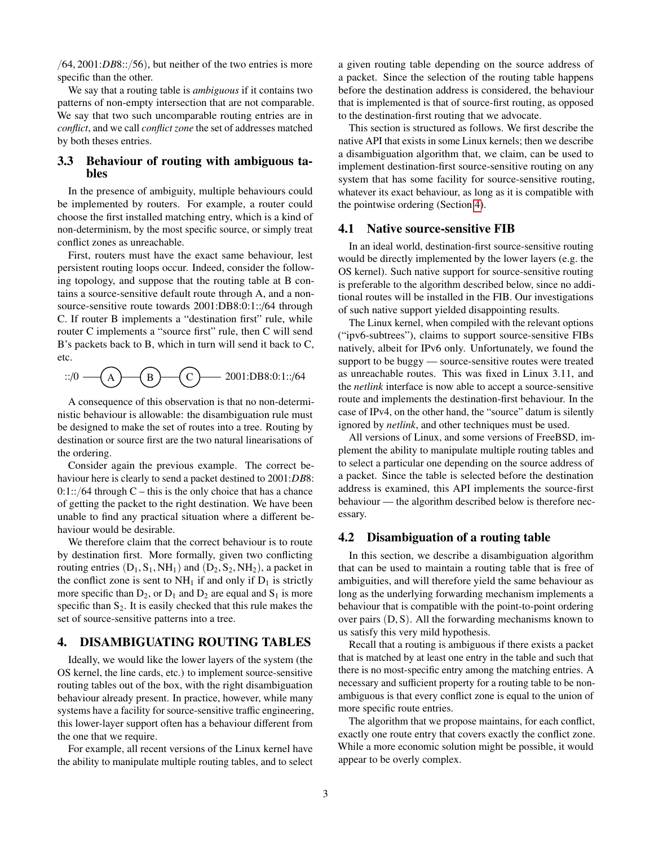$(64, 2001: DB8::/56)$ , but neither of the two entries is more specific than the other.

We say that a routing table is *ambiguous* if it contains two patterns of non-empty intersection that are not comparable. We say that two such uncomparable routing entries are in *conflict*, and we call *conflict zone* the set of addresses matched by both theses entries.

# 3.3 Behaviour of routing with ambiguous tables

In the presence of ambiguity, multiple behaviours could be implemented by routers. For example, a router could choose the first installed matching entry, which is a kind of non-determinism, by the most specific source, or simply treat conflict zones as unreachable.

First, routers must have the exact same behaviour, lest persistent routing loops occur. Indeed, consider the following topology, and suppose that the routing table at B contains a source-sensitive default route through A, and a nonsource-sensitive route towards 2001:DB8:0:1::/64 through C. If router B implements a "destination first" rule, while router C implements a "source first" rule, then C will send B's packets back to B, which in turn will send it back to C, etc.

::/0 — 
$$
(A)
$$
 —  $(B)$  —  $(C)$  — 2001:DB8:0:1::/64

A consequence of this observation is that no non-deterministic behaviour is allowable: the disambiguation rule must be designed to make the set of routes into a tree. Routing by destination or source first are the two natural linearisations of the ordering.

Consider again the previous example. The correct behaviour here is clearly to send a packet destined to 2001:*DB*8:  $0:1::/64$  through C – this is the only choice that has a chance of getting the packet to the right destination. We have been unable to find any practical situation where a different behaviour would be desirable.

We therefore claim that the correct behaviour is to route by destination first. More formally, given two conflicting routing entries  $(D_1, S_1, NH_1)$  and  $(D_2, S_2, NH_2)$ , a packet in the conflict zone is sent to  $NH_1$  if and only if  $D_1$  is strictly more specific than  $D_2$ , or  $D_1$  and  $D_2$  are equal and  $S_1$  is more specific than  $S_2$ . It is easily checked that this rule makes the set of source-sensitive patterns into a tree.

# <span id="page-2-0"></span>4. DISAMBIGUATING ROUTING TABLES

Ideally, we would like the lower layers of the system (the OS kernel, the line cards, etc.) to implement source-sensitive routing tables out of the box, with the right disambiguation behaviour already present. In practice, however, while many systems have a facility for source-sensitive traffic engineering, this lower-layer support often has a behaviour different from the one that we require.

For example, all recent versions of the Linux kernel have the ability to manipulate multiple routing tables, and to select a given routing table depending on the source address of a packet. Since the selection of the routing table happens before the destination address is considered, the behaviour that is implemented is that of source-first routing, as opposed to the destination-first routing that we advocate.

This section is structured as follows. We first describe the native API that exists in some Linux kernels; then we describe a disambiguation algorithm that, we claim, can be used to implement destination-first source-sensitive routing on any system that has some facility for source-sensitive routing, whatever its exact behaviour, as long as it is compatible with the pointwise ordering (Section [4\)](#page-2-0).

# 4.1 Native source-sensitive FIB

In an ideal world, destination-first source-sensitive routing would be directly implemented by the lower layers (e.g. the OS kernel). Such native support for source-sensitive routing is preferable to the algorithm described below, since no additional routes will be installed in the FIB. Our investigations of such native support yielded disappointing results.

The Linux kernel, when compiled with the relevant options ("ipv6-subtrees"), claims to support source-sensitive FIBs natively, albeit for IPv6 only. Unfortunately, we found the support to be buggy — source-sensitive routes were treated as unreachable routes. This was fixed in Linux 3.11, and the *netlink* interface is now able to accept a source-sensitive route and implements the destination-first behaviour. In the case of IPv4, on the other hand, the "source" datum is silently ignored by *netlink*, and other techniques must be used.

All versions of Linux, and some versions of FreeBSD, implement the ability to manipulate multiple routing tables and to select a particular one depending on the source address of a packet. Since the table is selected before the destination address is examined, this API implements the source-first behaviour — the algorithm described below is therefore necessary.

# 4.2 Disambiguation of a routing table

In this section, we describe a disambiguation algorithm that can be used to maintain a routing table that is free of ambiguities, and will therefore yield the same behaviour as long as the underlying forwarding mechanism implements a behaviour that is compatible with the point-to-point ordering over pairs  $(D, S)$ . All the forwarding mechanisms known to us satisfy this very mild hypothesis.

Recall that a routing is ambiguous if there exists a packet that is matched by at least one entry in the table and such that there is no most-specific entry among the matching entries. A necessary and sufficient property for a routing table to be nonambiguous is that every conflict zone is equal to the union of more specific route entries.

The algorithm that we propose maintains, for each conflict, exactly one route entry that covers exactly the conflict zone. While a more economic solution might be possible, it would appear to be overly complex.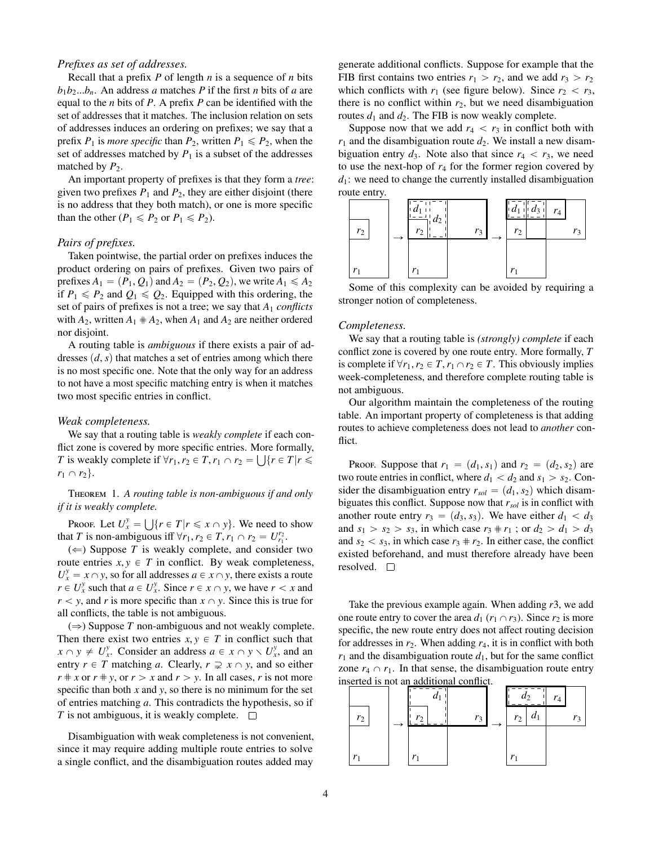## *Prefixes as set of addresses.*

Recall that a prefix *P* of length *n* is a sequence of *n* bits  $b_1b_2...b_n$ . An address *a* matches *P* if the first *n* bits of *a* are equal to the *n* bits of *P*. A prefix *P* can be identified with the set of addresses that it matches. The inclusion relation on sets of addresses induces an ordering on prefixes; we say that a prefix  $P_1$  is *more specific* than  $P_2$ , written  $P_1 \leq P_2$ , when the set of addresses matched by  $P_1$  is a subset of the addresses matched by  $P_2$ .

An important property of prefixes is that they form a *tree*: given two prefixes  $P_1$  and  $P_2$ , they are either disjoint (there is no address that they both match), or one is more specific than the other ( $P_1 \leq P_2$  or  $P_1 \leq P_2$ ).

#### *Pairs of prefixes.*

Taken pointwise, the partial order on prefixes induces the product ordering on pairs of prefixes. Given two pairs of prefixes  $A_1 = (P_1, Q_1)$  and  $A_2 = (P_2, Q_2)$ , we write  $A_1 \le A_2$ if  $P_1 \leq P_2$  and  $Q_1 \leq Q_2$ . Equipped with this ordering, the set of pairs of prefixes is not a tree; we say that *A*<sup>1</sup> *conflicts* with  $A_2$ , written  $A_1 \# A_2$ , when  $A_1$  and  $A_2$  are neither ordered nor disjoint.

A routing table is *ambiguous* if there exists a pair of addresses  $(d, s)$  that matches a set of entries among which there is no most specific one. Note that the only way for an address to not have a most specific matching entry is when it matches two most specific entries in conflict.

#### *Weak completeness.*

We say that a routing table is *weakly complete* if each conflict zone is covered by more specific entries. More formally, *T* is weakly complete if  $\forall r_1, r_2 \in T, r_1 \cap r_2 = \bigcup \{r \in T | r \le r_1 \}$  $r_1 \cap r_2$ .

Theorem 1. *A routing table is non-ambiguous if and only if it is weakly complete.* 

Proof. Let  $U_x^y = \bigcup \{ r \in T | r \leq x \cap y \}$ . We need to show that *T* is non-ambiguous iff  $\forall r_1, r_2 \in T$ ,  $r_1 \cap r_2 = U_{r_1}^{r_2}$ .<br>  $\left(\leftarrow)$  Suppose *T* is weakly complete and consider

 $(\Leftarrow)$  Suppose *T* is weakly complete, and consider two route entries  $x, y \in T$  in conflict. By weak completeness,  $U_x^y = x \cap y$ , so for all addresses  $a \in x \cap y$ , there exists a route  $r \in U_x^y$  such that  $a \in U_x^y$ . Since  $r \in x \cap y$ , we have  $r < x$  and  $r < y$ , and *r* is more specific than  $x \cap y$ . Since this is true for all conflicts, the table is not ambiguous.

 $(\Rightarrow)$  Suppose *T* non-ambiguous and not weakly complete. Then there exist two entries  $x, y \in T$  in conflict such that  $x \cap y \neq U_x^y$ . Consider an address  $a \in x \cap y \setminus U_x^y$ , and an entry  $r \in T$  matching *a*. Clearly,  $r \supsetneq x \cap y$ , and so either  $r \neq x$  or  $r \neq y$ , or  $r > x$  and  $r > y$ . In all cases, *r* is not more specific than both  $x$  and  $y$ , so there is no minimum for the set of entries matching *a*. This contradicts the hypothesis, so if *T* is not ambiguous, it is weakly complete.  $\Box$ 

Disambiguation with weak completeness is not convenient, since it may require adding multiple route entries to solve a single conflict, and the disambiguation routes added may generate additional conflicts. Suppose for example that the FIB first contains two entries  $r_1 > r_2$ , and we add  $r_3 > r_2$ which conflicts with  $r_1$  (see figure below). Since  $r_2 < r_3$ , there is no conflict within  $r_2$ , but we need disambiguation routes  $d_1$  and  $d_2$ . The FIB is now weakly complete.

Suppose now that we add  $r_4 < r_3$  in conflict both with  $r_1$  and the disambiguation route  $d_2$ . We install a new disambiguation entry  $d_3$ . Note also that since  $r_4 < r_3$ , we need to use the next-hop of  $r_4$  for the former region covered by  $d_1$ : we need to change the currently installed disambiguation route entry.



Some of this complexity can be avoided by requiring a stronger notion of completeness.

#### *Completeness.*

We say that a routing table is *(strongly) complete* if each conflict zone is covered by one route entry. More formally, *T* is complete if  $\forall r_1, r_2 \in T, r_1 \cap r_2 \in T$ . This obviously implies week-completeness, and therefore complete routing table is not ambiguous.

Our algorithm maintain the completeness of the routing table. An important property of completeness is that adding routes to achieve completeness does not lead to *another* conflict.

Proof. Suppose that  $r_1 = (d_1, s_1)$  and  $r_2 = (d_2, s_2)$  are two route entries in conflict, where  $d_1 < d_2$  and  $s_1 > s_2$ . Consider the disambiguation entry  $r_{sol} = (d_1, s_2)$  which disambiguates this conflict. Suppose now that *rsol* is in conflict with another route entry  $r_3 = (d_3, s_3)$ . We have either  $d_1 < d_3$ and  $s_1 > s_2 > s_3$ , in which case  $r_3 \neq r_1$ ; or  $d_2 > d_1 > d_3$ and  $s_2 < s_3$ , in which case  $r_3 \neq r_2$ . In either case, the conflict existed beforehand, and must therefore already have been resolved.  $\square$ 

Take the previous example again. When adding *r*3, we add one route entry to cover the area  $d_1$  ( $r_1 \cap r_3$ ). Since  $r_2$  is more specific, the new route entry does not affect routing decision for addresses in  $r_2$ . When adding  $r_4$ , it is in conflict with both  $r_1$  and the disambiguation route  $d_1$ , but for the same conflict zone  $r_4 \cap r_1$ . In that sense, the disambiguation route entry inserted is not an additional conflict.

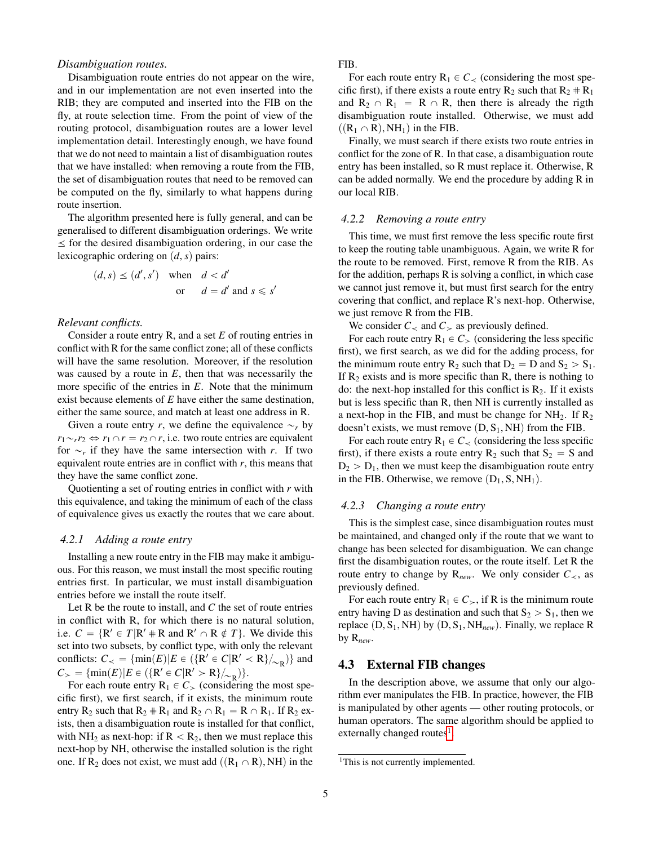## *Disambiguation routes.*

Disambiguation route entries do not appear on the wire, and in our implementation are not even inserted into the RIB; they are computed and inserted into the FIB on the fly, at route selection time. From the point of view of the routing protocol, disambiguation routes are a lower level implementation detail. Interestingly enough, we have found that we do not need to maintain a list of disambiguation routes that we have installed: when removing a route from the FIB, the set of disambiguation routes that need to be removed can be computed on the fly, similarly to what happens during route insertion.

The algorithm presented here is fully general, and can be generalised to different disambiguation orderings. We write  $\le$  for the desired disambiguation ordering, in our case the lexicographic ordering on  $(d, s)$  pairs:

$$
(d, s) \le (d', s')
$$
 when  $d < d'$   
or  $d = d'$  and  $s \le s'$ 

#### *Relevant conflicts.*

Consider a route entry R, and a set *E* of routing entries in conflict with R for the same conflict zone; all of these conflicts will have the same resolution. Moreover, if the resolution was caused by a route in *E*, then that was necessarily the more specific of the entries in *E*. Note that the minimum exist because elements of *E* have either the same destination, either the same source, and match at least one address in R.

Given a route entry *r*, we define the equivalence  $\sim_r$  by  $r_1 \sim_r r_2 \Leftrightarrow r_1 \cap r = r_2 \cap r$ , i.e. two route entries are equivalent for  $\sim_r$  if they have the same intersection with *r*. If two equivalent route entries are in conflict with *r*, this means that they have the same conflict zone.

Quotienting a set of routing entries in conflict with *r* with this equivalence, and taking the minimum of each of the class of equivalence gives us exactly the routes that we care about.

#### *4.2.1 Adding a route entry*

Installing a new route entry in the FIB may make it ambiguous. For this reason, we must install the most specific routing entries first. In particular, we must install disambiguation entries before we install the route itself.

Let R be the route to install, and *C* the set of route entries in conflict with R, for which there is no natural solution, i.e.  $C = \{ R' \in T | R' \# R \text{ and } R' \cap R \notin T \}$ . We divide this set into two subsets, by conflict type, with only the relevant conflicts:  $C_{\prec} = {\min(E)|E \in (\{R' \in C | R' \prec R\}/_{\sim_R})\}$  and  $C_{\geq} = {\min(E)|E \in (\{R' \in C | R' > R\}/_{\sim_R})\}.$ 

For each route entry  $R_1 \in C_>$  (considering the most specific first), we first search, if it exists, the minimum route entry  $R_2$  such that  $R_2 \# R_1$  and  $R_2 \cap R_1 = R \cap R_1$ . If  $R_2$  exists, then a disambiguation route is installed for that conflict, with NH<sub>2</sub> as next-hop: if  $R < R_2$ , then we must replace this next-hop by NH, otherwise the installed solution is the right one. If R<sub>2</sub> does not exist, we must add  $((R_1 \cap R), NH)$  in the

FIB.

For each route entry  $R_1 \in C_{\leq}$  (considering the most specific first), if there exists a route entry  $R_2$  such that  $R_2 \# R_1$ and  $R_2 \cap R_1 = R \cap R$ , then there is already the rigth disambiguation route installed. Otherwise, we must add  $((R_1 \cap R), NH_1)$  in the FIB.

Finally, we must search if there exists two route entries in conflict for the zone of R. In that case, a disambiguation route entry has been installed, so R must replace it. Otherwise, R can be added normally. We end the procedure by adding R in our local RIB.

#### *4.2.2 Removing a route entry*

This time, we must first remove the less specific route first to keep the routing table unambiguous. Again, we write R for the route to be removed. First, remove R from the RIB. As for the addition, perhaps R is solving a conflict, in which case we cannot just remove it, but must first search for the entry covering that conflict, and replace R's next-hop. Otherwise, we just remove R from the FIB.

We consider  $C_{\le}$  and  $C_{\ge}$  as previously defined.

For each route entry  $R_1 \in C_>(\text{considering the less specific})$ first), we first search, as we did for the adding process, for the minimum route entry  $R_2$  such that  $D_2 = D$  and  $S_2 > S_1$ . If  $R_2$  exists and is more specific than R, there is nothing to do: the next-hop installed for this conflict is  $R_2$ . If it exists but is less specific than R, then NH is currently installed as a next-hop in the FIB, and must be change for  $NH<sub>2</sub>$ . If  $R<sub>2</sub>$ doesn't exists, we must remove  $(D, S_1, NH)$  from the FIB.

For each route entry  $R_1 \in C_{\leq}$  (considering the less specific first), if there exists a route entry  $R_2$  such that  $S_2 = S$  and  $D_2 > D_1$ , then we must keep the disambiguation route entry in the FIB. Otherwise, we remove  $(D_1, S, NH_1)$ .

## *4.2.3 Changing a route entry*

This is the simplest case, since disambiguation routes must be maintained, and changed only if the route that we want to change has been selected for disambiguation. We can change first the disambiguation routes, or the route itself. Let R the route entry to change by  $R_{new}$ . We only consider  $C_{\leq}$ , as previously defined.

For each route entry  $R_1 \in C_{\geq}$ , if R is the minimum route entry having D as destination and such that  $S_2 > S_1$ , then we replace  $(D, S_1, NH)$  by  $(D, S_1, NH_{new})$ . Finally, we replace R by R*new*.

## 4.3 External FIB changes

In the description above, we assume that only our algorithm ever manipulates the FIB. In practice, however, the FIB is manipulated by other agents — other routing protocols, or human operators. The same algorithm should be applied to externally changed routes<sup>[1](#page-4-0)</sup>.

<span id="page-4-0"></span><sup>&</sup>lt;sup>1</sup>This is not currently implemented.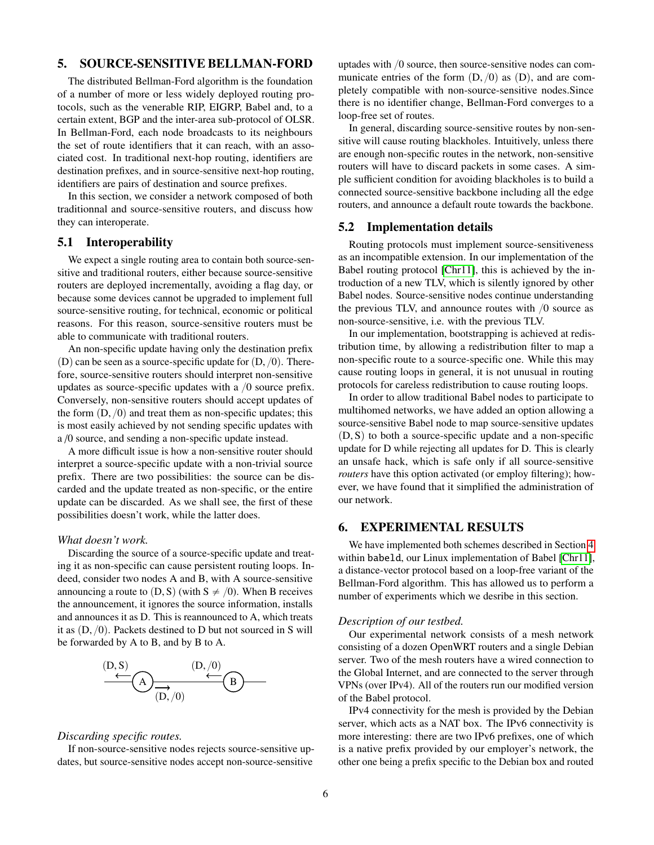# <span id="page-5-0"></span>5. SOURCE-SENSITIVE BELLMAN-FORD

The distributed Bellman-Ford algorithm is the foundation of a number of more or less widely deployed routing protocols, such as the venerable RIP, EIGRP, Babel and, to a certain extent, BGP and the inter-area sub-protocol of OLSR. In Bellman-Ford, each node broadcasts to its neighbours the set of route identifiers that it can reach, with an associated cost. In traditional next-hop routing, identifiers are destination prefixes, and in source-sensitive next-hop routing, identifiers are pairs of destination and source prefixes.

In this section, we consider a network composed of both traditionnal and source-sensitive routers, and discuss how they can interoperate.

# 5.1 Interoperability

We expect a single routing area to contain both source-sensitive and traditional routers, either because source-sensitive routers are deployed incrementally, avoiding a flag day, or because some devices cannot be upgraded to implement full source-sensitive routing, for technical, economic or political reasons. For this reason, source-sensitive routers must be able to communicate with traditional routers.

An non-specific update having only the destination prefix  $(D)$  can be seen as a source-specific update for  $(D, /0)$ . Therefore, source-sensitive routers should interpret non-sensitive updates as source-specific updates with a  $/0$  source prefix. Conversely, non-sensitive routers should accept updates of the form  $(D, /0)$  and treat them as non-specific updates; this is most easily achieved by not sending specific updates with a /0 source, and sending a non-specific update instead.

A more difficult issue is how a non-sensitive router should interpret a source-specific update with a non-trivial source prefix. There are two possibilities: the source can be discarded and the update treated as non-specific, or the entire update can be discarded. As we shall see, the first of these possibilities doesn't work, while the latter does.

#### *What doesn't work.*

Discarding the source of a source-specific update and treating it as non-specific can cause persistent routing loops. Indeed, consider two nodes A and B, with A source-sensitive announcing a route to  $(D, S)$  (with  $S \neq \emptyset$ ). When B receives the announcement, it ignores the source information, installs and announces it as D. This is reannounced to A, which treats it as  $(D, /0)$ . Packets destined to D but not sourced in S will be forwarded by A to B, and by B to A.



#### *Discarding specific routes.*

If non-source-sensitive nodes rejects source-sensitive updates, but source-sensitive nodes accept non-source-sensitive uptades with  $/0$  source, then source-sensitive nodes can communicate entries of the form  $(D, /0)$  as  $(D)$ , and are completely compatible with non-source-sensitive nodes.Since there is no identifier change, Bellman-Ford converges to a loop-free set of routes.

In general, discarding source-sensitive routes by non-sensitive will cause routing blackholes. Intuitively, unless there are enough non-specific routes in the network, non-sensitive routers will have to discard packets in some cases. A simple sufficient condition for avoiding blackholes is to build a connected source-sensitive backbone including all the edge routers, and announce a default route towards the backbone.

## 5.2 Implementation details

Routing protocols must implement source-sensitiveness as an incompatible extension. In our implementation of the Babel routing protocol [\[Chr11\]](#page-8-1), this is achieved by the introduction of a new TLV, which is silently ignored by other Babel nodes. Source-sensitive nodes continue understanding the previous TLV, and announce routes with  $/0$  source as non-source-sensitive, i.e. with the previous TLV.

In our implementation, bootstrapping is achieved at redistribution time, by allowing a redistribution filter to map a non-specific route to a source-specific one. While this may cause routing loops in general, it is not unusual in routing protocols for careless redistribution to cause routing loops.

In order to allow traditional Babel nodes to participate to multihomed networks, we have added an option allowing a source-sensitive Babel node to map source-sensitive updates  $(D, S)$  to both a source-specific update and a non-specific update for D while rejecting all updates for D. This is clearly an unsafe hack, which is safe only if all source-sensitive *routers* have this option activated (or employ filtering); however, we have found that it simplified the administration of our network.

# <span id="page-5-1"></span>6. EXPERIMENTAL RESULTS

We have implemented both schemes described in Section [4](#page-2-0) within babeld, our Linux implementation of Babel [\[Chr11\]](#page-8-1), a distance-vector protocol based on a loop-free variant of the Bellman-Ford algorithm. This has allowed us to perform a number of experiments which we desribe in this section.

#### *Description of our testbed.*

Our experimental network consists of a mesh network consisting of a dozen OpenWRT routers and a single Debian server. Two of the mesh routers have a wired connection to the Global Internet, and are connected to the server through VPNs (over IPv4). All of the routers run our modified version of the Babel protocol.

IPv4 connectivity for the mesh is provided by the Debian server, which acts as a NAT box. The IPv6 connectivity is more interesting: there are two IPv6 prefixes, one of which is a native prefix provided by our employer's network, the other one being a prefix specific to the Debian box and routed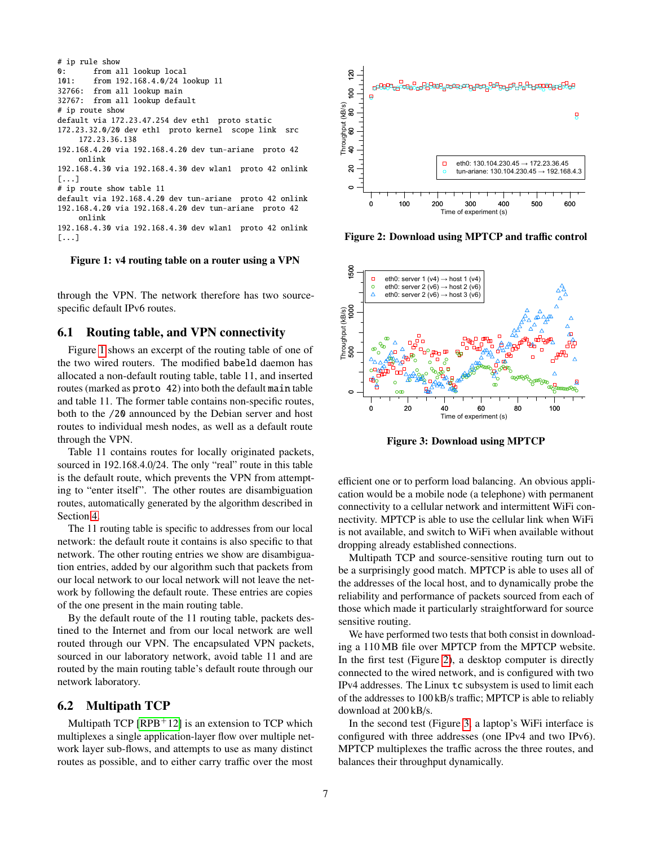# ip rule show 0: from all lookup local 101: from 192.168.4.0/24 lookup 11 32766: from all lookup main 32767: from all lookup default # ip route show default via 172.23.47.254 dev eth1 proto static 172.23.32.0/20 dev eth1 proto kernel scope link src 172.23.36.138 192.168.4.20 via 192.168.4.20 dev tun-ariane proto 42 onlink 192.168.4.30 via 192.168.4.30 dev wlan1 proto 42 onlink [...] # ip route show table 11 default via 192.168.4.20 dev tun-ariane proto 42 onlink 192.168.4.20 via 192.168.4.20 dev tun-ariane proto 42 onlink 192.168.4.30 via 192.168.4.30 dev wlan1 proto 42 onlink [...]

#### <span id="page-6-1"></span>Figure 1: v4 routing table on a router using a VPN

through the VPN. The network therefore has two sourcespecific default IPv6 routes.

# 6.1 Routing table, and VPN connectivity

Figure [1](#page-6-1) shows an excerpt of the routing table of one of the two wired routers. The modified babeld daemon has allocated a non-default routing table, table 11, and inserted routes (marked as proto 42) into both the default main table and table 11. The former table contains non-specific routes, both to the /20 announced by the Debian server and host routes to individual mesh nodes, as well as a default route through the VPN.

Table 11 contains routes for locally originated packets, sourced in 192.168.4.0/24. The only "real" route in this table is the default route, which prevents the VPN from attempting to "enter itself". The other routes are disambiguation routes, automatically generated by the algorithm described in Section [4.](#page-2-0)

The 11 routing table is specific to addresses from our local network: the default route it contains is also specific to that network. The other routing entries we show are disambiguation entries, added by our algorithm such that packets from our local network to our local network will not leave the network by following the default route. These entries are copies of the one present in the main routing table.

By the default route of the 11 routing table, packets destined to the Internet and from our local network are well routed through our VPN. The encapsulated VPN packets, sourced in our laboratory network, avoid table 11 and are routed by the main routing table's default route through our network laboratory.

# <span id="page-6-0"></span>6.2 Multipath TCP

Multipath TCP  $[RPB+12]$  $[RPB+12]$  is an extension to TCP which multiplexes a single application-layer flow over multiple network layer sub-flows, and attempts to use as many distinct routes as possible, and to either carry traffic over the most



<span id="page-6-2"></span>Figure 2: Download using MPTCP and traffic control



<span id="page-6-3"></span>Figure 3: Download using MPTCP

efficient one or to perform load balancing. An obvious application would be a mobile node (a telephone) with permanent connectivity to a cellular network and intermittent WiFi connectivity. MPTCP is able to use the cellular link when WiFi is not available, and switch to WiFi when available without dropping already established connections.

Multipath TCP and source-sensitive routing turn out to be a surprisingly good match. MPTCP is able to uses all of the addresses of the local host, and to dynamically probe the reliability and performance of packets sourced from each of those which made it particularly straightforward for source sensitive routing.

We have performed two tests that both consist in downloading a 110 MB file over MPTCP from the MPTCP website. In the first test (Figure [2\)](#page-6-2), a desktop computer is directly connected to the wired network, and is configured with two IPv4 addresses. The Linux tc subsystem is used to limit each of the addresses to 100 kB/s traffic; MPTCP is able to reliably download at 200 kB/s.

In the second test (Figure [3,](#page-6-3) a laptop's WiFi interface is configured with three addresses (one IPv4 and two IPv6). MPTCP multiplexes the traffic across the three routes, and balances their throughput dynamically.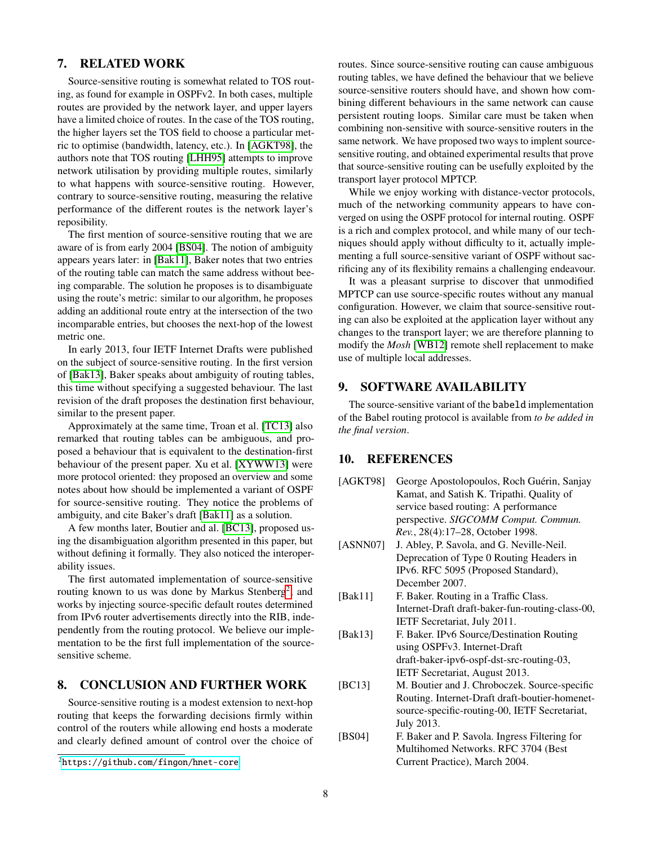# 7. RELATED WORK

Source-sensitive routing is somewhat related to TOS routing, as found for example in OSPFv2. In both cases, multiple routes are provided by the network layer, and upper layers have a limited choice of routes. In the case of the TOS routing, the higher layers set the TOS field to choose a particular metric to optimise (bandwidth, latency, etc.). In [\[AGKT98\]](#page-7-1), the authors note that TOS routing [\[LHH95\]](#page-8-4) attempts to improve network utilisation by providing multiple routes, similarly to what happens with source-sensitive routing. However, contrary to source-sensitive routing, measuring the relative performance of the different routes is the network layer's reposibility.

The first mention of source-sensitive routing that we are aware of is from early 2004 [\[BS04\]](#page-7-2). The notion of ambiguity appears years later: in [\[Bak11\]](#page-7-3), Baker notes that two entries of the routing table can match the same address without beeing comparable. The solution he proposes is to disambiguate using the route's metric: similar to our algorithm, he proposes adding an additional route entry at the intersection of the two incomparable entries, but chooses the next-hop of the lowest metric one.

In early 2013, four IETF Internet Drafts were published on the subject of source-sensitive routing. In the first version of [\[Bak13\]](#page-7-4), Baker speaks about ambiguity of routing tables, this time without specifying a suggested behaviour. The last revision of the draft proposes the destination first behaviour, similar to the present paper.

Approximately at the same time, Troan et al. [\[TC13\]](#page-8-5) also remarked that routing tables can be ambiguous, and proposed a behaviour that is equivalent to the destination-first behaviour of the present paper. Xu et al. [\[XYWW13\]](#page-8-6) were more protocol oriented: they proposed an overview and some notes about how should be implemented a variant of OSPF for source-sensitive routing. They notice the problems of ambiguity, and cite Baker's draft [\[Bak11\]](#page-7-3) as a solution.

A few months later, Boutier and al. [\[BC13\]](#page-7-5), proposed using the disambiguation algorithm presented in this paper, but without defining it formally. They also noticed the interoperability issues.

The first automated implementation of source-sensitive routing known to us was done by Markus Stenberg<sup>[2](#page-7-6)</sup>, and works by injecting source-specific default routes determined from IPv6 router advertisements directly into the RIB, independently from the routing protocol. We believe our implementation to be the first full implementation of the sourcesensitive scheme.

# 8. CONCLUSION AND FURTHER WORK

Source-sensitive routing is a modest extension to next-hop routing that keeps the forwarding decisions firmly within control of the routers while allowing end hosts a moderate and clearly defined amount of control over the choice of routes. Since source-sensitive routing can cause ambiguous routing tables, we have defined the behaviour that we believe source-sensitive routers should have, and shown how combining different behaviours in the same network can cause persistent routing loops. Similar care must be taken when combining non-sensitive with source-sensitive routers in the same network. We have proposed two ways to implent sourcesensitive routing, and obtained experimental results that prove that source-sensitive routing can be usefully exploited by the transport layer protocol MPTCP.

While we enjoy working with distance-vector protocols, much of the networking community appears to have converged on using the OSPF protocol for internal routing. OSPF is a rich and complex protocol, and while many of our techniques should apply without difficulty to it, actually implementing a full source-sensitive variant of OSPF without sacrificing any of its flexibility remains a challenging endeavour.

It was a pleasant surprise to discover that unmodified MPTCP can use source-specific routes without any manual configuration. However, we claim that source-sensitive routing can also be exploited at the application layer without any changes to the transport layer; we are therefore planning to modify the *Mosh* [\[WB12\]](#page-8-7) remote shell replacement to make use of multiple local addresses.

# 9. SOFTWARE AVAILABILITY

The source-sensitive variant of the babeld implementation of the Babel routing protocol is available from *to be added in the final version*.

## 10. REFERENCES

<span id="page-7-5"></span><span id="page-7-4"></span><span id="page-7-3"></span><span id="page-7-2"></span><span id="page-7-1"></span><span id="page-7-0"></span>

| [AGKT98] | George Apostolopoulos, Roch Guérin, Sanjay       |
|----------|--------------------------------------------------|
|          | Kamat, and Satish K. Tripathi. Quality of        |
|          | service based routing: A performance             |
|          | perspective. SIGCOMM Comput. Commun.             |
|          | Rev., 28(4):17-28, October 1998.                 |
| [ASNN07] | J. Abley, P. Savola, and G. Neville-Neil.        |
|          | Deprecation of Type 0 Routing Headers in         |
|          | IPv6. RFC 5095 (Proposed Standard),              |
|          | December 2007.                                   |
| [Bak11]  | F. Baker. Routing in a Traffic Class.            |
|          | Internet-Draft draft-baker-fun-routing-class-00, |
|          | IETF Secretariat, July 2011.                     |
| [Bak13]  | F. Baker. IPv6 Source/Destination Routing        |
|          | using OSPFv3. Internet-Draft                     |
|          | draft-baker-ipv6-ospf-dst-src-routing-03,        |
|          | IETF Secretariat, August 2013.                   |
| [BC13]   | M. Boutier and J. Chroboczek. Source-specific    |
|          | Routing. Internet-Draft draft-boutier-homenet-   |
|          | source-specific-routing-00, IETF Secretariat,    |
|          | July 2013.                                       |
| [BS04]   | F. Baker and P. Savola. Ingress Filtering for    |
|          | Multihomed Networks. RFC 3704 (Best)             |
|          | Current Practice), March 2004.                   |
|          |                                                  |

<span id="page-7-6"></span><sup>2</sup><https://github.com/fingon/hnet-core>